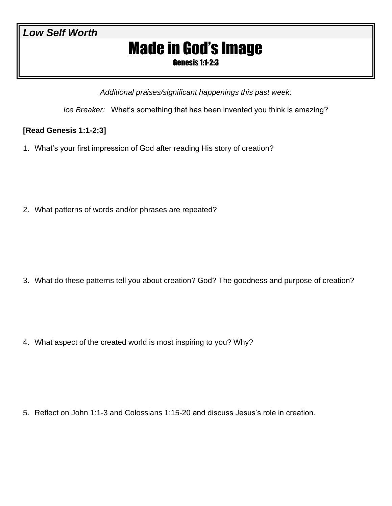## *Low Self Worth*

# Made in God's Image

Genesis 1:1-2:3

*Additional praises/significant happenings this past week:*

*Ice Breaker:* What's something that has been invented you think is amazing?

### **[Read Genesis 1:1-2:3]**

1. What's your first impression of God after reading His story of creation?

2. What patterns of words and/or phrases are repeated?

3. What do these patterns tell you about creation? God? The goodness and purpose of creation?

4. What aspect of the created world is most inspiring to you? Why?

5. Reflect on John 1:1-3 and Colossians 1:15-20 and discuss Jesus's role in creation.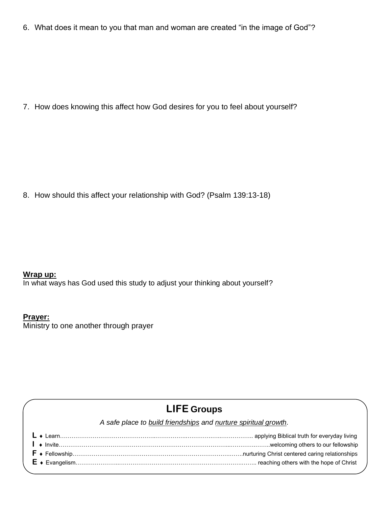6. What does it mean to you that man and woman are created "in the image of God"?

7. How does knowing this affect how God desires for you to feel about yourself?

8. How should this affect your relationship with God? (Psalm 139:13-18)

### **Wrap up:**

In what ways has God used this study to adjust your thinking about yourself?

#### **Prayer:**

Ministry to one another through prayer

# **LIFE Groups**

*A safe place to build friendships and nurture spiritual growth.*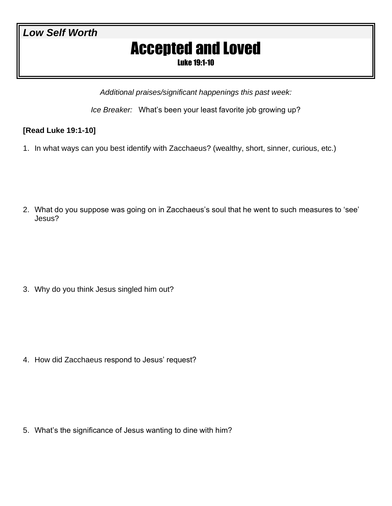## *Low Self Worth*

# Accepted and Loved

Luke 19:1-10

*Additional praises/significant happenings this past week:*

*Ice Breaker:* What's been your least favorite job growing up?

### **[Read Luke 19:1-10]**

1. In what ways can you best identify with Zacchaeus? (wealthy, short, sinner, curious, etc.)

2. What do you suppose was going on in Zacchaeus's soul that he went to such measures to 'see' Jesus?

3. Why do you think Jesus singled him out?

4. How did Zacchaeus respond to Jesus' request?

5. What's the significance of Jesus wanting to dine with him?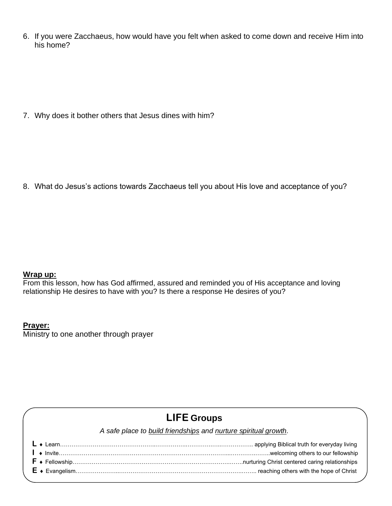6. If you were Zacchaeus, how would have you felt when asked to come down and receive Him into his home?

7. Why does it bother others that Jesus dines with him?

8. What do Jesus's actions towards Zacchaeus tell you about His love and acceptance of you?

#### **Wrap up:**

From this lesson, how has God affirmed, assured and reminded you of His acceptance and loving relationship He desires to have with you? Is there a response He desires of you?

#### **Prayer:**

Ministry to one another through prayer

## **LIFE Groups**

*A safe place to build friendships and nurture spiritual growth.*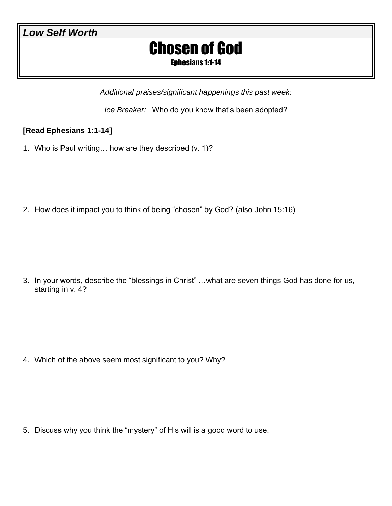# Chosen of God

Ephesians 1:1-14

*Additional praises/significant happenings this past week:*

*Ice Breaker:* Who do you know that's been adopted?

## **[Read Ephesians 1:1-14]**

1. Who is Paul writing… how are they described (v. 1)?

2. How does it impact you to think of being "chosen" by God? (also John 15:16)

3. In your words, describe the "blessings in Christ" …what are seven things God has done for us, starting in v. 4?

4. Which of the above seem most significant to you? Why?

5. Discuss why you think the "mystery" of His will is a good word to use.